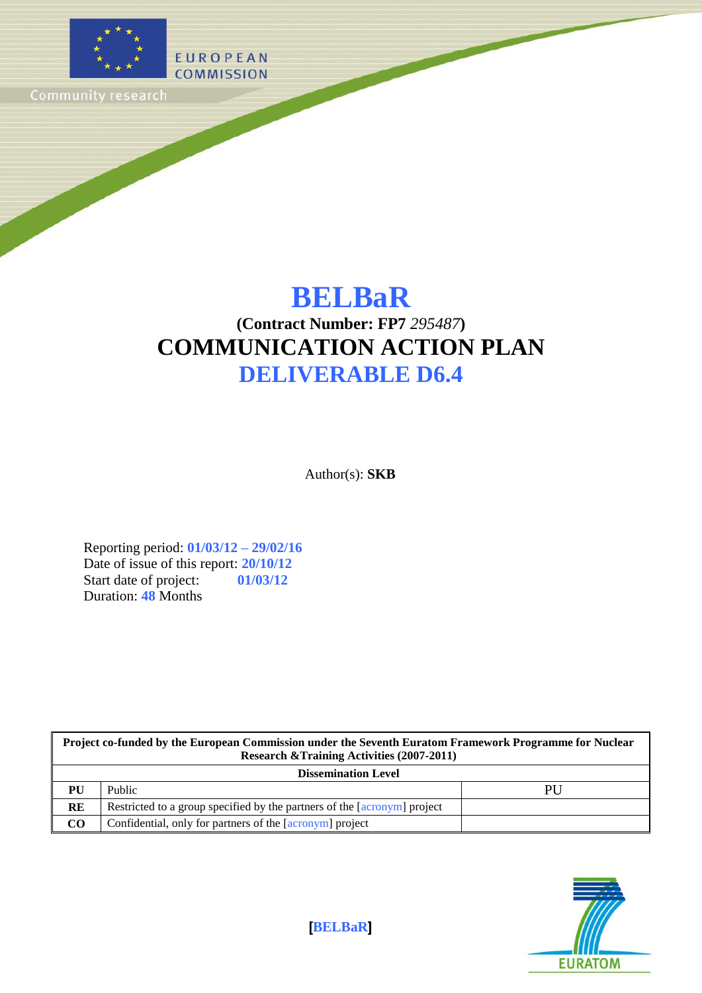

# **BELBaR**

# **(Contract Number: FP7** *295487***) COMMUNICATION ACTION PLAN DELIVERABLE D6.4**

Author(s): **SKB**

Reporting period: **01/03/12 – 29/02/16** Date of issue of this report: **20/10/12** Start date of project: **01/03/12** Duration: **48** Months

| Project co-funded by the European Commission under the Seventh Euratom Framework Programme for Nuclear<br><b>Research &amp; Training Activities (2007-2011)</b> |                                                                          |    |  |  |
|-----------------------------------------------------------------------------------------------------------------------------------------------------------------|--------------------------------------------------------------------------|----|--|--|
| <b>Dissemination Level</b>                                                                                                                                      |                                                                          |    |  |  |
| PU                                                                                                                                                              | Public                                                                   | PU |  |  |
| <b>RE</b>                                                                                                                                                       | Restricted to a group specified by the partners of the [acronym] project |    |  |  |
| $\rm CO$                                                                                                                                                        | Confidential, only for partners of the [acronym] project                 |    |  |  |



[**BELBaR**]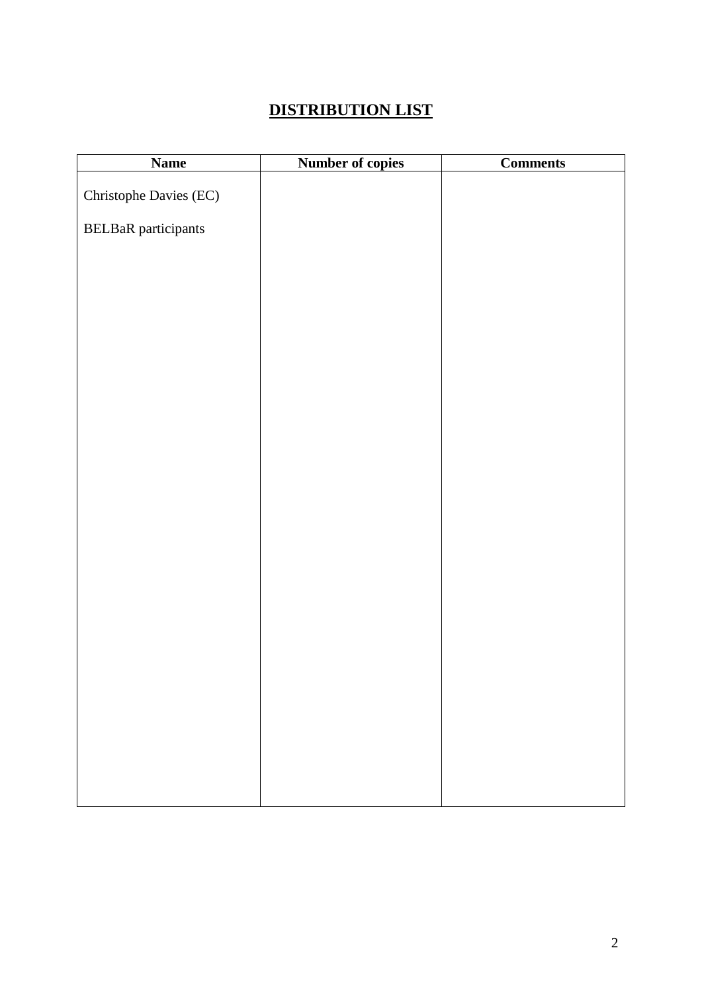# **DISTRIBUTION LIST**

| <b>Name</b>                | <b>Number of copies</b> | <b>Comments</b> |
|----------------------------|-------------------------|-----------------|
|                            |                         |                 |
| Christophe Davies (EC)     |                         |                 |
| <b>BELBaR</b> participants |                         |                 |
|                            |                         |                 |
|                            |                         |                 |
|                            |                         |                 |
|                            |                         |                 |
|                            |                         |                 |
|                            |                         |                 |
|                            |                         |                 |
|                            |                         |                 |
|                            |                         |                 |
|                            |                         |                 |
|                            |                         |                 |
|                            |                         |                 |
|                            |                         |                 |
|                            |                         |                 |
|                            |                         |                 |
|                            |                         |                 |
|                            |                         |                 |
|                            |                         |                 |
|                            |                         |                 |
|                            |                         |                 |
|                            |                         |                 |
|                            |                         |                 |
|                            |                         |                 |
|                            |                         |                 |
|                            |                         |                 |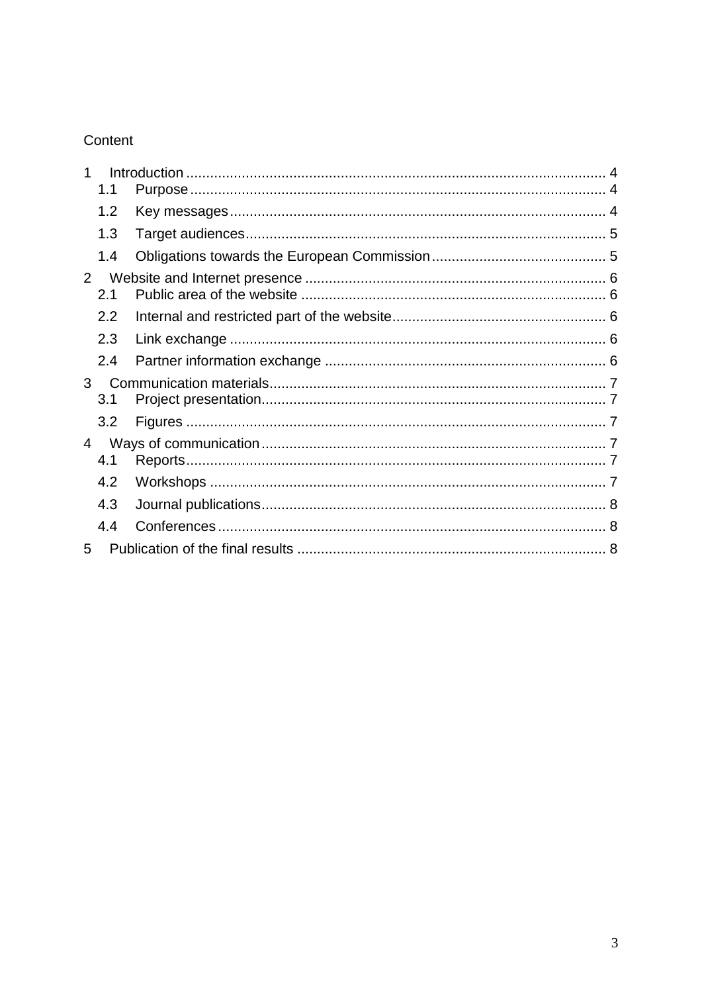# Content

|                | 1.1        |  |
|----------------|------------|--|
|                | 1.2        |  |
|                | 1.3        |  |
|                | 1.4        |  |
| $\overline{2}$ |            |  |
|                | 2.1<br>2.2 |  |
|                | 2.3        |  |
|                | 2.4        |  |
| 3              | 3.1        |  |
|                | 3.2        |  |
| 4              | 4.1        |  |
|                | 4.2        |  |
|                | 4.3        |  |
|                | 4.4        |  |
| 5              |            |  |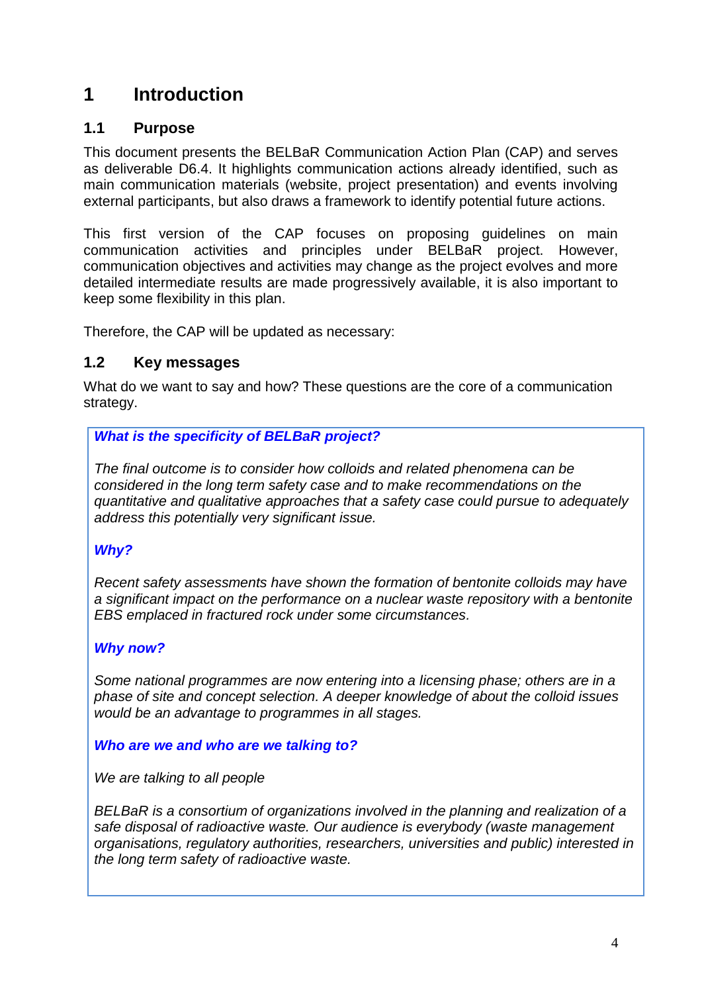# <span id="page-3-0"></span>**1 Introduction**

### <span id="page-3-1"></span>**1.1 Purpose**

This document presents the BELBaR Communication Action Plan (CAP) and serves as deliverable D6.4. It highlights communication actions already identified, such as main communication materials (website, project presentation) and events involving external participants, but also draws a framework to identify potential future actions.

This first version of the CAP focuses on proposing guidelines on main communication activities and principles under BELBaR project. However, communication objectives and activities may change as the project evolves and more detailed intermediate results are made progressively available, it is also important to keep some flexibility in this plan.

Therefore, the CAP will be updated as necessary:

### <span id="page-3-2"></span>**1.2 Key messages**

What do we want to say and how? These questions are the core of a communication strategy.

### *What is the specificity of BELBaR project?*

*The final outcome is to consider how colloids and related phenomena can be considered in the long term safety case and to make recommendations on the quantitative and qualitative approaches that a safety case could pursue to adequately address this potentially very significant issue.*

### *Why?*

*Recent safety assessments have shown the formation of bentonite colloids may have a significant impact on the performance on a nuclear waste repository with a bentonite EBS emplaced in fractured rock under some circumstances.* 

### *Why now?*

*Some national programmes are now entering into a licensing phase; others are in a phase of site and concept selection. A deeper knowledge of about the colloid issues would be an advantage to programmes in all stages.* 

#### *Who are we and who are we talking to?*

*We are talking to all people*

*BELBaR is a consortium of organizations involved in the planning and realization of a safe disposal of radioactive waste. Our audience is everybody (waste management organisations, regulatory authorities, researchers, universities and public) interested in the long term safety of radioactive waste.*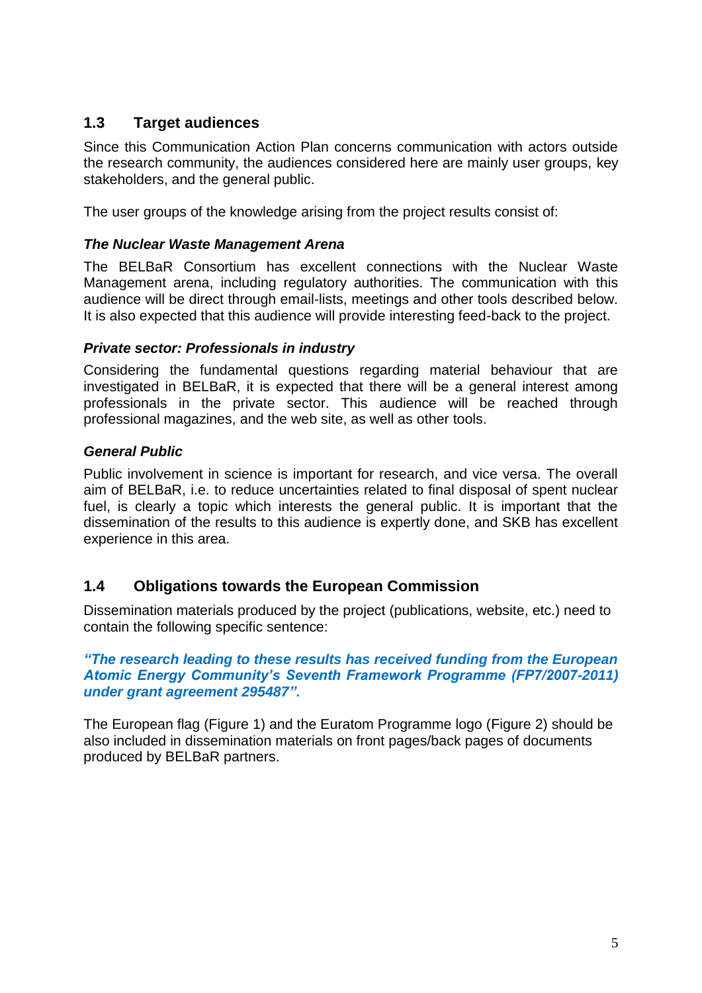### <span id="page-4-0"></span>**1.3 Target audiences**

Since this Communication Action Plan concerns communication with actors outside the research community, the audiences considered here are mainly user groups, key stakeholders, and the general public.

The user groups of the knowledge arising from the project results consist of:

#### *The Nuclear Waste Management Arena*

The BELBaR Consortium has excellent connections with the Nuclear Waste Management arena, including regulatory authorities. The communication with this audience will be direct through email-lists, meetings and other tools described below. It is also expected that this audience will provide interesting feed-back to the project.

#### *Private sector: Professionals in industry*

Considering the fundamental questions regarding material behaviour that are investigated in BELBaR, it is expected that there will be a general interest among professionals in the private sector. This audience will be reached through professional magazines, and the web site, as well as other tools.

#### *General Public*

Public involvement in science is important for research, and vice versa. The overall aim of BELBaR, i.e. to reduce uncertainties related to final disposal of spent nuclear fuel, is clearly a topic which interests the general public. It is important that the dissemination of the results to this audience is expertly done, and SKB has excellent experience in this area.

### <span id="page-4-1"></span>**1.4 Obligations towards the European Commission**

Dissemination materials produced by the project (publications, website, etc.) need to contain the following specific sentence:

#### *"The research leading to these results has received funding from the European Atomic Energy Community's Seventh Framework Programme (FP7/2007-2011) under grant agreement 295487".*

The European flag [\(Figure 1\)](#page-5-5) and the Euratom Programme logo [\(Figure 2\)](#page-5-6) should be also included in dissemination materials on front pages/back pages of documents produced by BELBaR partners.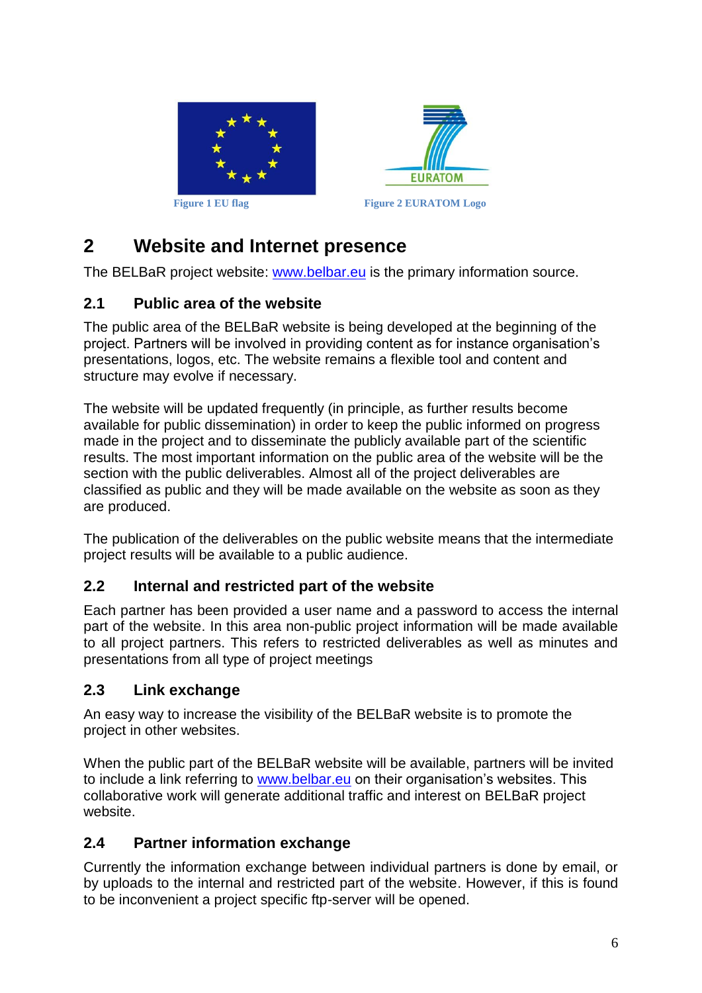

<span id="page-5-6"></span>

# <span id="page-5-5"></span><span id="page-5-0"></span>**2 Website and Internet presence**

The BELBaR project website: www.belbar.eu is the primary information source.

### <span id="page-5-1"></span>**2.1 Public area of the website**

The public area of the BELBaR website is being developed at the beginning of the project. Partners will be involved in providing content as for instance organisation's presentations, logos, etc. The website remains a flexible tool and content and structure may evolve if necessary.

The website will be updated frequently (in principle, as further results become available for public dissemination) in order to keep the public informed on progress made in the project and to disseminate the publicly available part of the scientific results. The most important information on the public area of the website will be the section with the public deliverables. Almost all of the project deliverables are classified as public and they will be made available on the website as soon as they are produced.

The publication of the deliverables on the public website means that the intermediate project results will be available to a public audience.

### <span id="page-5-2"></span>**2.2 Internal and restricted part of the website**

Each partner has been provided a user name and a password to access the internal part of the website. In this area non-public project information will be made available to all project partners. This refers to restricted deliverables as well as minutes and presentations from all type of project meetings

### <span id="page-5-3"></span>**2.3 Link exchange**

An easy way to increase the visibility of the BELBaR website is to promote the project in other websites.

When the public part of the BELBaR website will be available, partners will be invited to include a link referring to www.belbar.eu on their organisation's websites. This collaborative work will generate additional traffic and interest on BELBaR project website.

### <span id="page-5-4"></span>**2.4 Partner information exchange**

Currently the information exchange between individual partners is done by email, or by uploads to the internal and restricted part of the website. However, if this is found to be inconvenient a project specific ftp-server will be opened.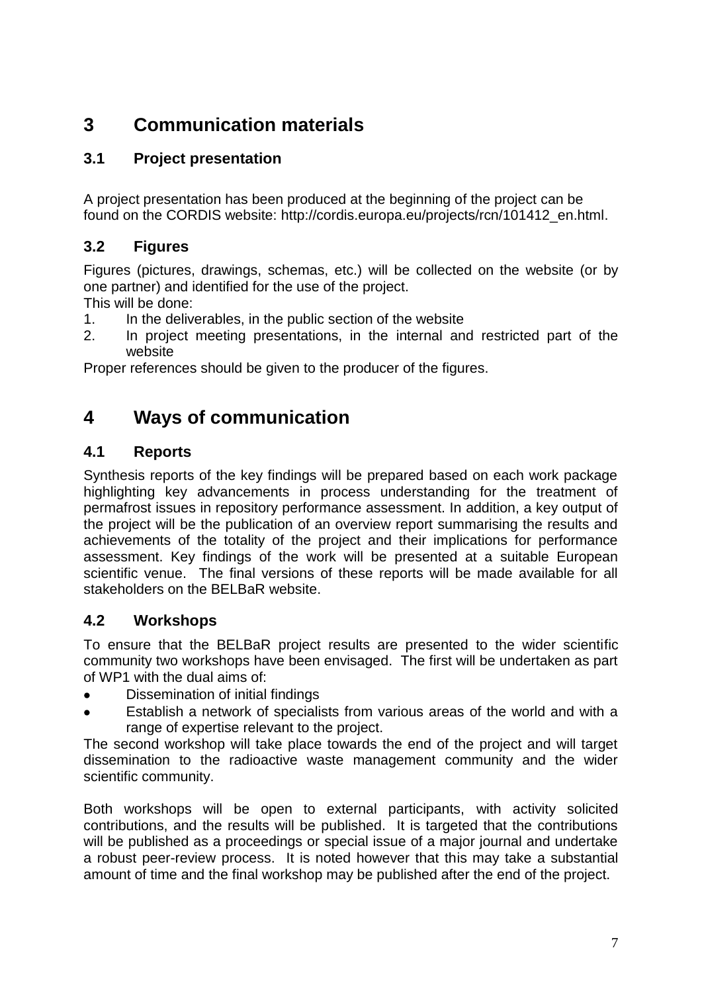# <span id="page-6-0"></span>**3 Communication materials**

## <span id="page-6-1"></span>**3.1 Project presentation**

A project presentation has been produced at the beginning of the project can be found on the CORDIS website: [http://cordis.europa.eu/projects/rcn/101412\\_en.html.](http://cordis.europa.eu/projects/rcn/101412_en.html)

### <span id="page-6-2"></span>**3.2 Figures**

Figures (pictures, drawings, schemas, etc.) will be collected on the website (or by one partner) and identified for the use of the project.

This will be done:

- 1. In the deliverables, in the public section of the website
- 2. In project meeting presentations, in the internal and restricted part of the website

Proper references should be given to the producer of the figures.

# <span id="page-6-3"></span>**4 Ways of communication**

### <span id="page-6-4"></span>**4.1 Reports**

Synthesis reports of the key findings will be prepared based on each work package highlighting key advancements in process understanding for the treatment of permafrost issues in repository performance assessment. In addition, a key output of the project will be the publication of an overview report summarising the results and achievements of the totality of the project and their implications for performance assessment. Key findings of the work will be presented at a suitable European scientific venue. The final versions of these reports will be made available for all stakeholders on the BELBaR website.

### <span id="page-6-5"></span>**4.2 Workshops**

To ensure that the BELBaR project results are presented to the wider scientific community two workshops have been envisaged. The first will be undertaken as part of WP1 with the dual aims of:

- Dissemination of initial findings
- Establish a network of specialists from various areas of the world and with a range of expertise relevant to the project.

The second workshop will take place towards the end of the project and will target dissemination to the radioactive waste management community and the wider scientific community.

Both workshops will be open to external participants, with activity solicited contributions, and the results will be published. It is targeted that the contributions will be published as a proceedings or special issue of a major journal and undertake a robust peer-review process. It is noted however that this may take a substantial amount of time and the final workshop may be published after the end of the project.